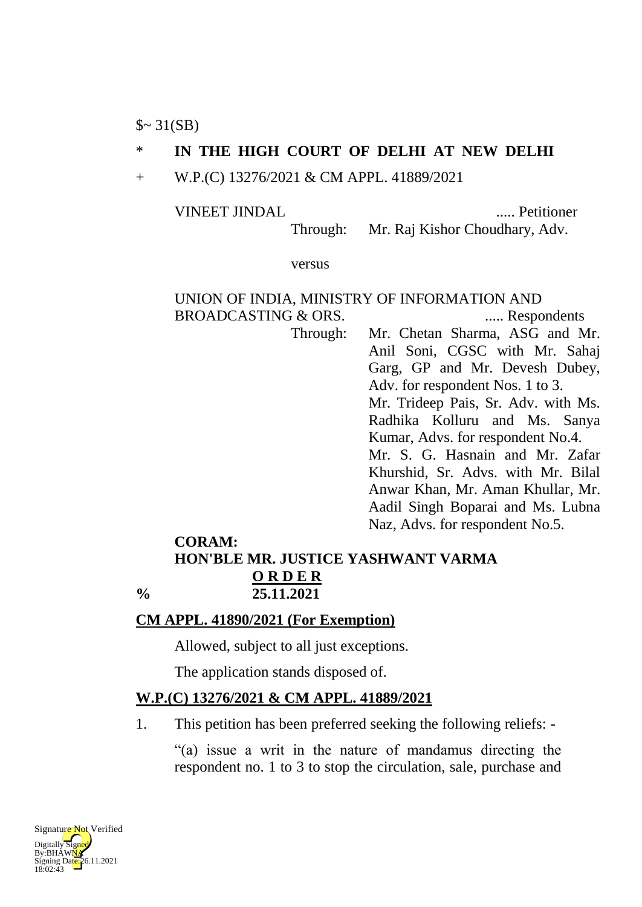$\sim 31(SB)$ 

### \* **IN THE HIGH COURT OF DELHI AT NEW DELHI**

+ W.P.(C) 13276/2021 & CM APPL. 41889/2021

VINEET JINDAL ..... Petitioner

Through: Mr. Raj Kishor Choudhary, Adv.

versus

#### UNION OF INDIA, MINISTRY OF INFORMATION AND BROADCASTING & ORS. ...... Respondents

Through: Mr. Chetan Sharma, ASG and Mr. Anil Soni, CGSC with Mr. Sahaj Garg, GP and Mr. Devesh Dubey, Adv. for respondent Nos. 1 to 3. Mr. Trideep Pais, Sr. Adv. with Ms. Radhika Kolluru and Ms. Sanya Kumar, Advs. for respondent No.4. Mr. S. G. Hasnain and Mr. Zafar Khurshid, Sr. Advs. with Mr. Bilal Anwar Khan, Mr. Aman Khullar, Mr. Aadil Singh Boparai and Ms. Lubna Naz, Advs. for respondent No.5.

### **CORAM: HON'BLE MR. JUSTICE YASHWANT VARMA O R D E R % 25.11.2021**

### **CM APPL. 41890/2021 (For Exemption)**

Allowed, subject to all just exceptions.

The application stands disposed of.

# **W.P.(C) 13276/2021 & CM APPL. 41889/2021**

1. This petition has been preferred seeking the following reliefs: -

"(a) issue a writ in the nature of mandamus directing the respondent no. 1 to 3 to stop the circulation, sale, purchase and

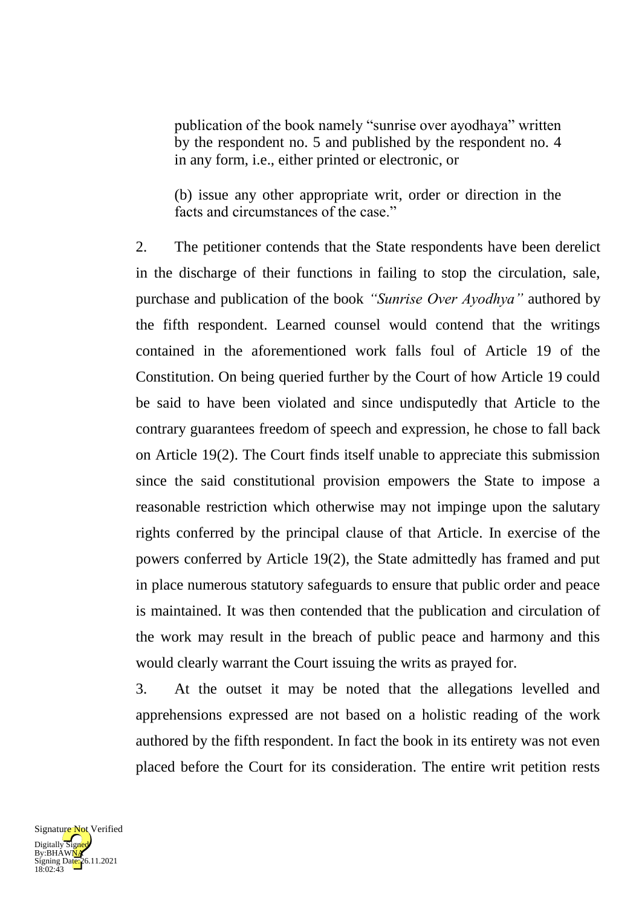publication of the book namely "sunrise over ayodhaya" written by the respondent no. 5 and published by the respondent no. 4 in any form, i.e., either printed or electronic, or

(b) issue any other appropriate writ, order or direction in the facts and circumstances of the case."

2. The petitioner contends that the State respondents have been derelict in the discharge of their functions in failing to stop the circulation, sale, purchase and publication of the book *"Sunrise Over Ayodhya"* authored by the fifth respondent. Learned counsel would contend that the writings contained in the aforementioned work falls foul of Article 19 of the Constitution. On being queried further by the Court of how Article 19 could be said to have been violated and since undisputedly that Article to the contrary guarantees freedom of speech and expression, he chose to fall back on Article 19(2). The Court finds itself unable to appreciate this submission since the said constitutional provision empowers the State to impose a reasonable restriction which otherwise may not impinge upon the salutary rights conferred by the principal clause of that Article. In exercise of the powers conferred by Article 19(2), the State admittedly has framed and put in place numerous statutory safeguards to ensure that public order and peace is maintained. It was then contended that the publication and circulation of the work may result in the breach of public peace and harmony and this would clearly warrant the Court issuing the writs as prayed for.

3. At the outset it may be noted that the allegations levelled and apprehensions expressed are not based on a holistic reading of the work authored by the fifth respondent. In fact the book in its entirety was not even placed before the Court for its consideration. The entire writ petition rests

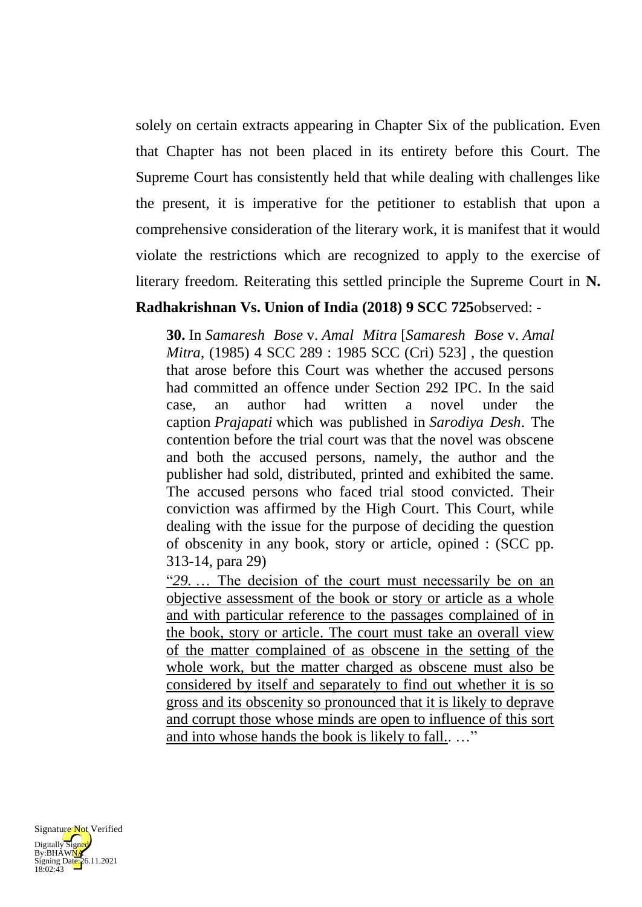solely on certain extracts appearing in Chapter Six of the publication. Even that Chapter has not been placed in its entirety before this Court. The Supreme Court has consistently held that while dealing with challenges like the present, it is imperative for the petitioner to establish that upon a comprehensive consideration of the literary work, it is manifest that it would violate the restrictions which are recognized to apply to the exercise of literary freedom. Reiterating this settled principle the Supreme Court in **N.** 

## **Radhakrishnan Vs. Union of India (2018) 9 SCC 725**observed: -

**30.** In *Samaresh Bose* v. *Amal Mitra* [*Samaresh Bose* v. *Amal Mitra*, (1985) 4 SCC 289 : 1985 SCC (Cri) 523], the question that arose before this Court was whether the accused persons had committed an offence under Section 292 IPC. In the said case, an author had written a novel under the caption *Prajapati* which was published in *Sarodiya Desh*. The contention before the trial court was that the novel was obscene and both the accused persons, namely, the author and the publisher had sold, distributed, printed and exhibited the same. The accused persons who faced trial stood convicted. Their conviction was affirmed by the High Court. This Court, while dealing with the issue for the purpose of deciding the question of obscenity in any book, story or article, opined : (SCC pp. 313-14, para 29)

"*29.* … The decision of the court must necessarily be on an objective assessment of the book or story or article as a whole and with particular reference to the passages complained of in the book, story or article. The court must take an overall view of the matter complained of as obscene in the setting of the whole work, but the matter charged as obscene must also be considered by itself and separately to find out whether it is so gross and its obscenity so pronounced that it is likely to deprave and corrupt those whose minds are open to influence of this sort and into whose hands the book is likely to fall.. …"

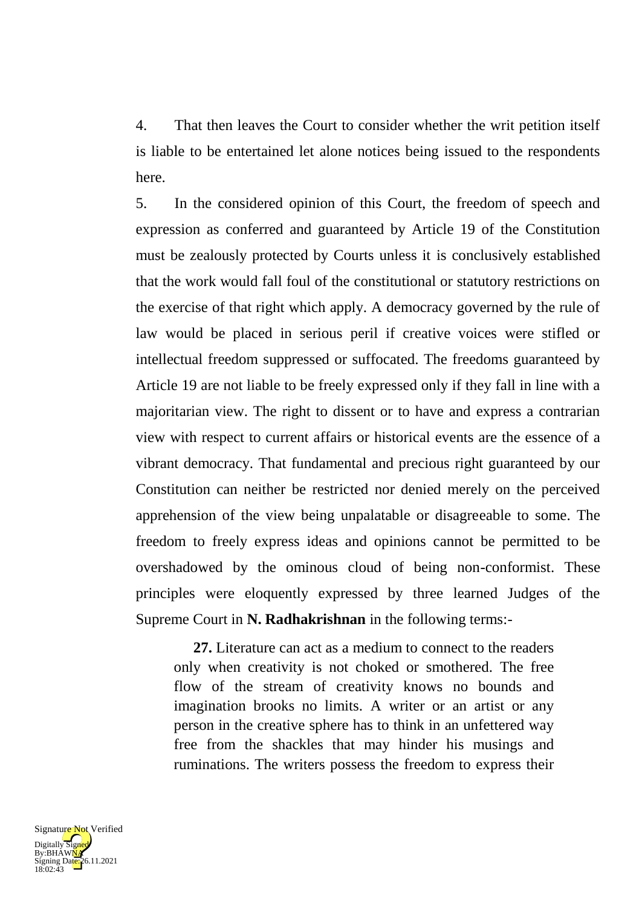4. That then leaves the Court to consider whether the writ petition itself is liable to be entertained let alone notices being issued to the respondents here.

5. In the considered opinion of this Court, the freedom of speech and expression as conferred and guaranteed by Article 19 of the Constitution must be zealously protected by Courts unless it is conclusively established that the work would fall foul of the constitutional or statutory restrictions on the exercise of that right which apply. A democracy governed by the rule of law would be placed in serious peril if creative voices were stifled or intellectual freedom suppressed or suffocated. The freedoms guaranteed by Article 19 are not liable to be freely expressed only if they fall in line with a majoritarian view. The right to dissent or to have and express a contrarian view with respect to current affairs or historical events are the essence of a vibrant democracy. That fundamental and precious right guaranteed by our Constitution can neither be restricted nor denied merely on the perceived apprehension of the view being unpalatable or disagreeable to some. The freedom to freely express ideas and opinions cannot be permitted to be overshadowed by the ominous cloud of being non-conformist. These principles were eloquently expressed by three learned Judges of the Supreme Court in **N. Radhakrishnan** in the following terms:-

**27.** Literature can act as a medium to connect to the readers only when creativity is not choked or smothered. The free flow of the stream of creativity knows no bounds and imagination brooks no limits. A writer or an artist or any person in the creative sphere has to think in an unfettered way free from the shackles that may hinder his musings and ruminations. The writers possess the freedom to express their

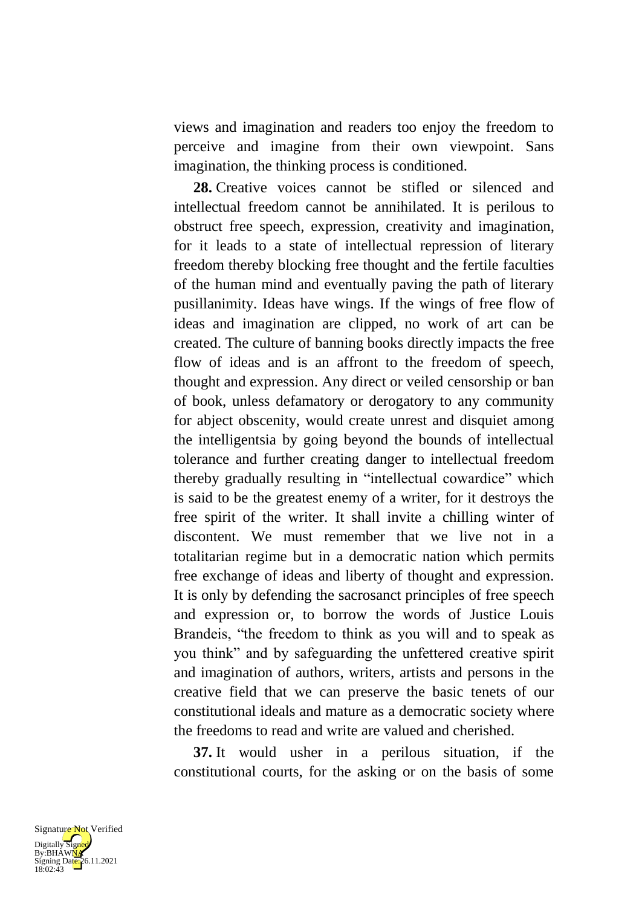views and imagination and readers too enjoy the freedom to perceive and imagine from their own viewpoint. Sans imagination, the thinking process is conditioned.

**28.** Creative voices cannot be stifled or silenced and intellectual freedom cannot be annihilated. It is perilous to obstruct free speech, expression, creativity and imagination, for it leads to a state of intellectual repression of literary freedom thereby blocking free thought and the fertile faculties of the human mind and eventually paving the path of literary pusillanimity. Ideas have wings. If the wings of free flow of ideas and imagination are clipped, no work of art can be created. The culture of banning books directly impacts the free flow of ideas and is an affront to the freedom of speech, thought and expression. Any direct or veiled censorship or ban of book, unless defamatory or derogatory to any community for abject obscenity, would create unrest and disquiet among the intelligentsia by going beyond the bounds of intellectual tolerance and further creating danger to intellectual freedom thereby gradually resulting in "intellectual cowardice" which is said to be the greatest enemy of a writer, for it destroys the free spirit of the writer. It shall invite a chilling winter of discontent. We must remember that we live not in a totalitarian regime but in a democratic nation which permits free exchange of ideas and liberty of thought and expression. It is only by defending the sacrosanct principles of free speech and expression or, to borrow the words of Justice Louis Brandeis, "the freedom to think as you will and to speak as you think" and by safeguarding the unfettered creative spirit and imagination of authors, writers, artists and persons in the creative field that we can preserve the basic tenets of our constitutional ideals and mature as a democratic society where the freedoms to read and write are valued and cherished.

**37.** It would usher in a perilous situation, if the constitutional courts, for the asking or on the basis of some